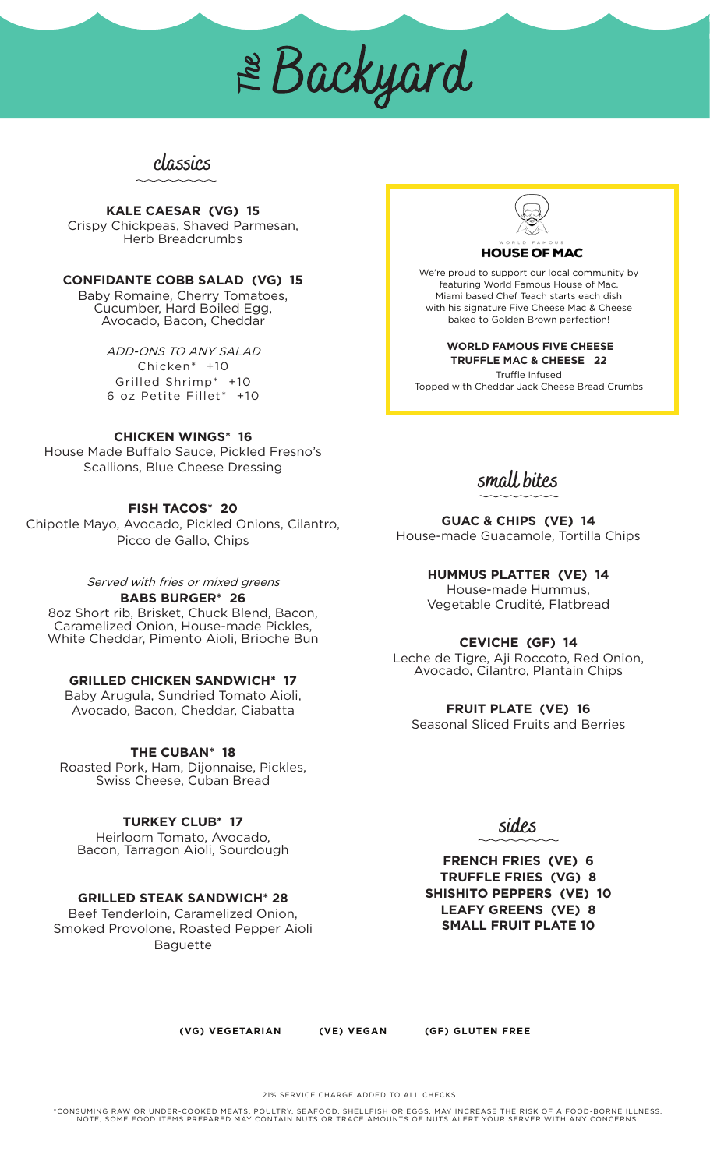# ₹ Backyard



### **KALE CAESAR (VG) 15**

Crispy Chickpeas, Shaved Parmesan, Herb Breadcrumbs

### **CONFIDANTE COBB SALAD (VG) 15**

Baby Romaine, Cherry Tomatoes, Cucumber, Hard Boiled Egg, Avocado, Bacon, Cheddar

> ADD-ONS TO ANY SALAD Chicken\* +10 Grilled Shrimp\* +10 6 oz Petite Fillet\* +10

### **CHICKEN WINGS\* 16**

House Made Buffalo Sauce, Pickled Fresno's Scallions, Blue Cheese Dressing

### **FISH TACOS\* 20**

Chipotle Mayo, Avocado, Pickled Onions, Cilantro, Picco de Gallo, Chips

Served with fries or mixed greens

**BABS BURGER\* 26** 8oz Short rib, Brisket, Chuck Blend, Bacon, Caramelized Onion, House-made Pickles, White Cheddar, Pimento Aioli, Brioche Bun

### **GRILLED CHICKEN SANDWICH\* 17**

Baby Arugula, Sundried Tomato Aioli, Avocado, Bacon, Cheddar, Ciabatta

**THE CUBAN\* 18** Roasted Pork, Ham, Dijonnaise, Pickles, Swiss Cheese, Cuban Bread

### **TURKEY CLUB\* 17**

Heirloom Tomato, Avocado, Bacon, Tarragon Aioli, Sourdough

### **GRILLED STEAK SANDWICH\* 28**

Beef Tenderloin, Caramelized Onion, Smoked Provolone, Roasted Pepper Aioli Baguette



### **HOUSE OF MAC**

We're proud to support our local community by featuring World Famous House of Mac. Miami based Chef Teach starts each dish with his signature Five Cheese Mac & Cheese baked to Golden Brown perfection!

#### **WORLD FAMOUS FIVE CHEESE TRUFFLE MAC & CHEESE 22** Truffle Infused

Topped with Cheddar Jack Cheese Bread Crumbs

**small bites**

**GUAC & CHIPS (VE) 14** House-made Guacamole, Tortilla Chips

### **HUMMUS PLATTER (VE) 14**

House-made Hummus, Vegetable Crudité, Flatbread

### **CEVICHE (GF) 14**

Leche de Tigre, Aji Roccoto, Red Onion, Avocado, Cilantro, Plantain Chips

### **FRUIT PLATE (VE) 16**

Seasonal Sliced Fruits and Berries

**sides**

**FRENCH FRIES (VE) 6 TRUFFLE FRIES (VG) 8 SHISHITO PEPPERS (VE) 10 LEAFY GREENS (VE) 8 SMALL FRUIT PLATE 10**

**(VG) VEGETARIAN (VE) VEGAN (GF) GLUTEN FREE** 

21% SERVICE CHARGE ADDED TO ALL CHECKS

CONSUMING RAW OR UNDER-COOKED MEATS, POULTRY, SEAFOOD, SHELLFISH OR EGGS, MAY INCREASE THE RISK OF A FOOD-BORNE ILLNESS. "<br>NOTE, SOME FOOD ITEMS PREPARED MAY CONTAIN NUTS OR TRACE AMOUNTS OF NUTS ALERT YOUR SERVER WITH ANY